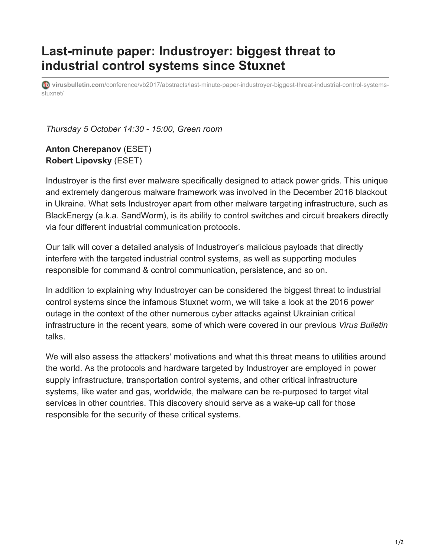## **Last-minute paper: Industroyer: biggest threat to industrial control systems since Stuxnet**

**virusbulletin.com**[/conference/vb2017/abstracts/last-minute-paper-industroyer-biggest-threat-industrial-control-systems](https://www.virusbulletin.com/conference/vb2017/abstracts/last-minute-paper-industroyer-biggest-threat-industrial-control-systems-stuxnet/)stuxnet/

*Thursday 5 October 14:30 - 15:00, Green room*

**Anton Cherepanov** (ESET) **Robert Lipovsky** (ESET)

Industroyer is the first ever malware specifically designed to attack power grids. This unique and extremely dangerous malware framework was involved in the December 2016 blackout in Ukraine. What sets Industroyer apart from other malware targeting infrastructure, such as BlackEnergy (a.k.a. SandWorm), is its ability to control switches and circuit breakers directly via four different industrial communication protocols.

Our talk will cover a detailed analysis of Industroyer's malicious payloads that directly interfere with the targeted industrial control systems, as well as supporting modules responsible for command & control communication, persistence, and so on.

In addition to explaining why Industroyer can be considered the biggest threat to industrial control systems since the infamous Stuxnet worm, we will take a look at the 2016 power outage in the context of the other numerous cyber attacks against Ukrainian critical infrastructure in the recent years, some of which were covered in our previous *Virus Bulletin* talks.

We will also assess the attackers' motivations and what this threat means to utilities around the world. As the protocols and hardware targeted by Industroyer are employed in power supply infrastructure, transportation control systems, and other critical infrastructure systems, like water and gas, worldwide, the malware can be re-purposed to target vital services in other countries. This discovery should serve as a wake-up call for those responsible for the security of these critical systems.